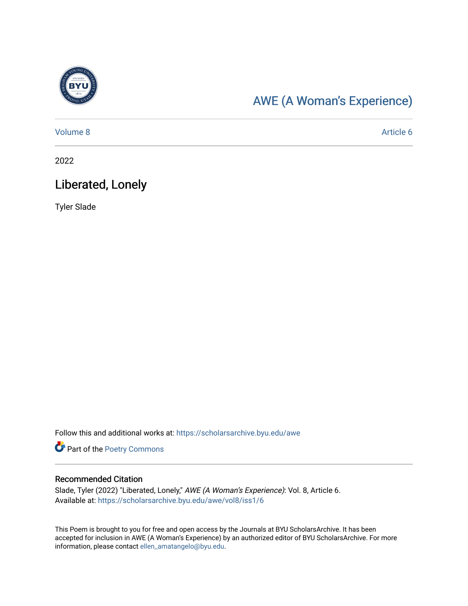

## [AWE \(A Woman's Experience\)](https://scholarsarchive.byu.edu/awe)

[Volume 8](https://scholarsarchive.byu.edu/awe/vol8) Article 6

2022

## Liberated, Lonely

Tyler Slade

Follow this and additional works at: [https://scholarsarchive.byu.edu/awe](https://scholarsarchive.byu.edu/awe?utm_source=scholarsarchive.byu.edu%2Fawe%2Fvol8%2Fiss1%2F6&utm_medium=PDF&utm_campaign=PDFCoverPages)

Part of the [Poetry Commons](https://network.bepress.com/hgg/discipline/1153?utm_source=scholarsarchive.byu.edu%2Fawe%2Fvol8%2Fiss1%2F6&utm_medium=PDF&utm_campaign=PDFCoverPages) 

#### Recommended Citation

Slade, Tyler (2022) "Liberated, Lonely," AWE (A Woman's Experience): Vol. 8, Article 6. Available at: [https://scholarsarchive.byu.edu/awe/vol8/iss1/6](https://scholarsarchive.byu.edu/awe/vol8/iss1/6?utm_source=scholarsarchive.byu.edu%2Fawe%2Fvol8%2Fiss1%2F6&utm_medium=PDF&utm_campaign=PDFCoverPages)

This Poem is brought to you for free and open access by the Journals at BYU ScholarsArchive. It has been accepted for inclusion in AWE (A Woman's Experience) by an authorized editor of BYU ScholarsArchive. For more information, please contact [ellen\\_amatangelo@byu.edu.](mailto:ellen_amatangelo@byu.edu)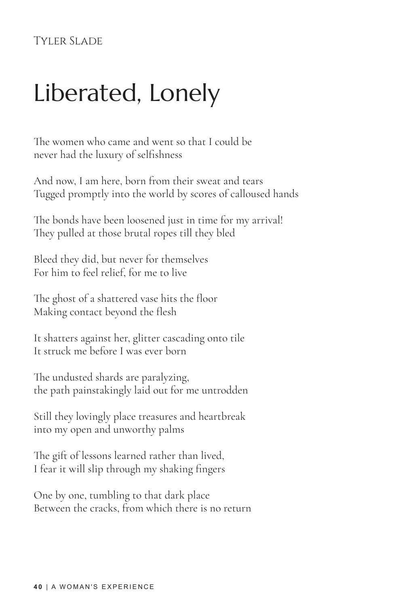### Tyler Slade

# Liberated, Lonely

The women who came and went so that I could be never had the luxury of selfishness

And now, I am here, born from their sweat and tears Tugged promptly into the world by scores of calloused hands

The bonds have been loosened just in time for my arrival! They pulled at those brutal ropes till they bled

Bleed they did, but never for themselves For him to feel relief, for me to live

The ghost of a shattered vase hits the floor Making contact beyond the flesh

It shatters against her, glitter cascading onto tile It struck me before I was ever born

The undusted shards are paralyzing, the path painstakingly laid out for me untrodden

Still they lovingly place treasures and heartbreak into my open and unworthy palms

The gift of lessons learned rather than lived, I fear it will slip through my shaking fingers

One by one, tumbling to that dark place Between the cracks, from which there is no return